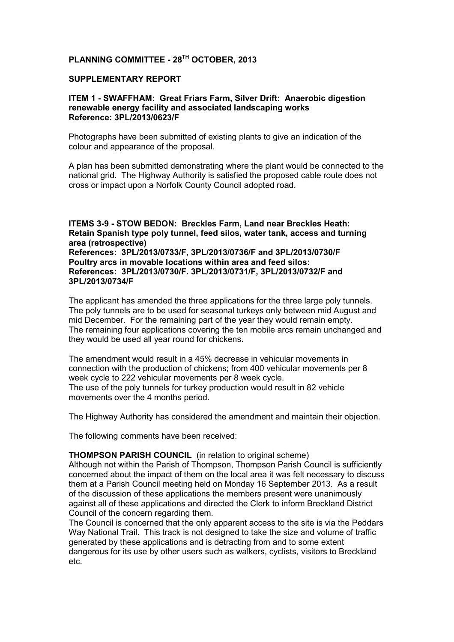# **PLANNING COMMITTEE - 28TH OCTOBER, 2013**

#### **SUPPLEMENTARY REPORT**

# **ITEM 1 - SWAFFHAM: Great Friars Farm, Silver Drift: Anaerobic digestion renewable energy facility and associated landscaping works Reference: 3PL/2013/0623/F**

Photographs have been submitted of existing plants to give an indication of the colour and appearance of the proposal.

A plan has been submitted demonstrating where the plant would be connected to the national grid. The Highway Authority is satisfied the proposed cable route does not cross or impact upon a Norfolk County Council adopted road.

#### **ITEMS 3-9 - STOW BEDON: Breckles Farm, Land near Breckles Heath: Retain Spanish type poly tunnel, feed silos, water tank, access and turning area (retrospective) References: 3PL/2013/0733/F, 3PL/2013/0736/F and 3PL/2013/0730/F Poultry arcs in movable locations within area and feed silos: References: 3PL/2013/0730/F. 3PL/2013/0731/F, 3PL/2013/0732/F and 3PL/2013/0734/F**

The applicant has amended the three applications for the three large poly tunnels. The poly tunnels are to be used for seasonal turkeys only between mid August and mid December. For the remaining part of the year they would remain empty. The remaining four applications covering the ten mobile arcs remain unchanged and they would be used all year round for chickens.

The amendment would result in a 45% decrease in vehicular movements in connection with the production of chickens; from 400 vehicular movements per 8 week cycle to 222 vehicular movements per 8 week cycle. The use of the poly tunnels for turkey production would result in 82 vehicle movements over the 4 months period.

The Highway Authority has considered the amendment and maintain their objection.

The following comments have been received:

#### **THOMPSON PARISH COUNCIL** (in relation to original scheme)

Although not within the Parish of Thompson, Thompson Parish Council is sufficiently concerned about the impact of them on the local area it was felt necessary to discuss them at a Parish Council meeting held on Monday 16 September 2013. As a result of the discussion of these applications the members present were unanimously against all of these applications and directed the Clerk to inform Breckland District Council of the concern regarding them.

The Council is concerned that the only apparent access to the site is via the Peddars Way National Trail. This track is not designed to take the size and volume of traffic generated by these applications and is detracting from and to some extent dangerous for its use by other users such as walkers, cyclists, visitors to Breckland etc.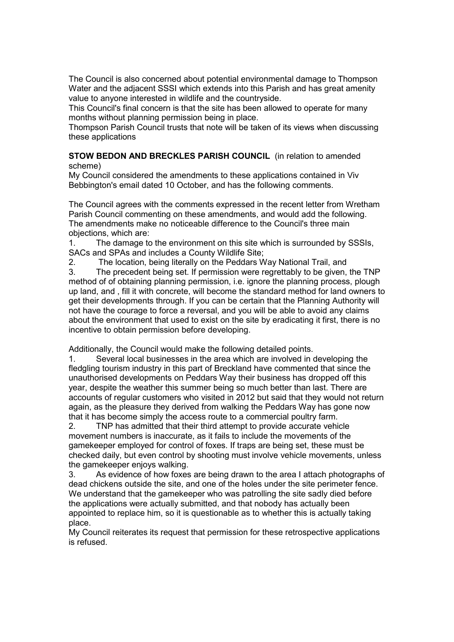The Council is also concerned about potential environmental damage to Thompson Water and the adjacent SSSI which extends into this Parish and has great amenity value to anyone interested in wildlife and the countryside.

This Council's final concern is that the site has been allowed to operate for many months without planning permission being in place.

Thompson Parish Council trusts that note will be taken of its views when discussing these applications

# **STOW BEDON AND BRECKLES PARISH COUNCIL** (in relation to amended scheme)

My Council considered the amendments to these applications contained in Viv Bebbington's email dated 10 October, and has the following comments.

The Council agrees with the comments expressed in the recent letter from Wretham Parish Council commenting on these amendments, and would add the following. The amendments make no noticeable difference to the Council's three main objections, which are:

1. The damage to the environment on this site which is surrounded by SSSIs, SACs and SPAs and includes a County Wildlife Site;

2. The location, being literally on the Peddars Way National Trail, and

3. The precedent being set. If permission were regrettably to be given, the TNP method of of obtaining planning permission, i.e. ignore the planning process, plough up land, and , fill it with concrete, will become the standard method for land owners to get their developments through. If you can be certain that the Planning Authority will not have the courage to force a reversal, and you will be able to avoid any claims about the environment that used to exist on the site by eradicating it first, there is no incentive to obtain permission before developing.

Additionally, the Council would make the following detailed points.

1. Several local businesses in the area which are involved in developing the fledgling tourism industry in this part of Breckland have commented that since the unauthorised developments on Peddars Way their business has dropped off this year, despite the weather this summer being so much better than last. There are accounts of regular customers who visited in 2012 but said that they would not return again, as the pleasure they derived from walking the Peddars Way has gone now that it has become simply the access route to a commercial poultry farm.

2. TNP has admitted that their third attempt to provide accurate vehicle movement numbers is inaccurate, as it fails to include the movements of the gamekeeper employed for control of foxes. If traps are being set, these must be checked daily, but even control by shooting must involve vehicle movements, unless the gamekeeper enjoys walking.

3. As evidence of how foxes are being drawn to the area I attach photographs of dead chickens outside the site, and one of the holes under the site perimeter fence. We understand that the gamekeeper who was patrolling the site sadly died before the applications were actually submitted, and that nobody has actually been appointed to replace him, so it is questionable as to whether this is actually taking place.

My Council reiterates its request that permission for these retrospective applications is refused.